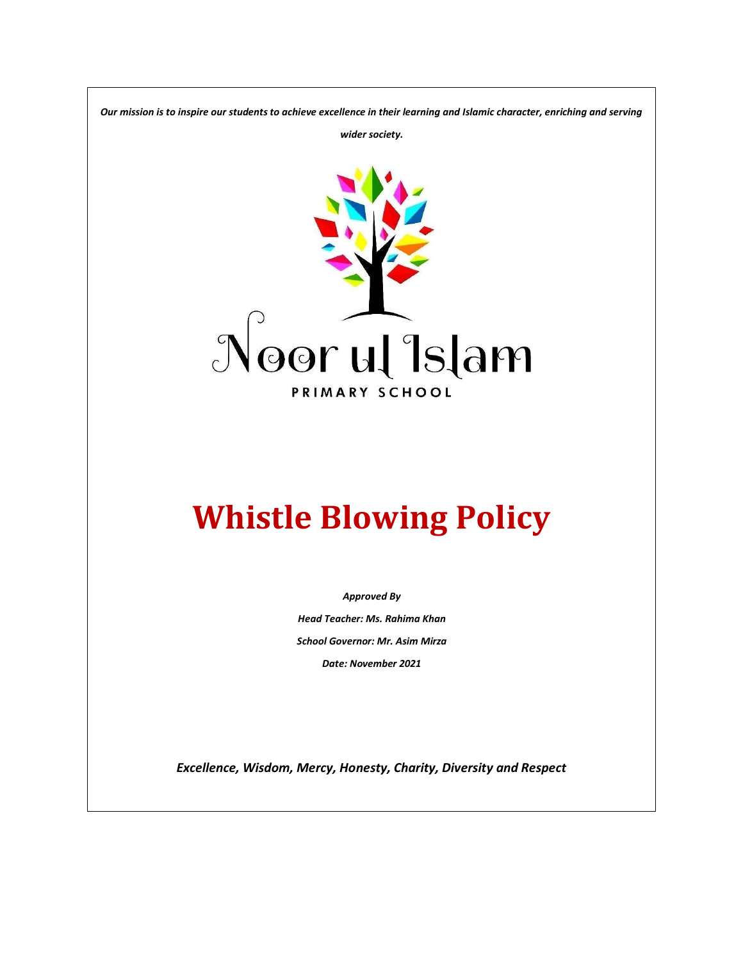*Our mission is to inspire our students to achieve excellence in their learning and Islamic character, enriching and serving* 

*wider society.*



# **Whistle Blowing Policy**

*Approved By Head Teacher: Ms. Rahima Khan School Governor: Mr. Asim Mirza Date: November 2021*

*Excellence, Wisdom, Mercy, Honesty, Charity, Diversity and Respect*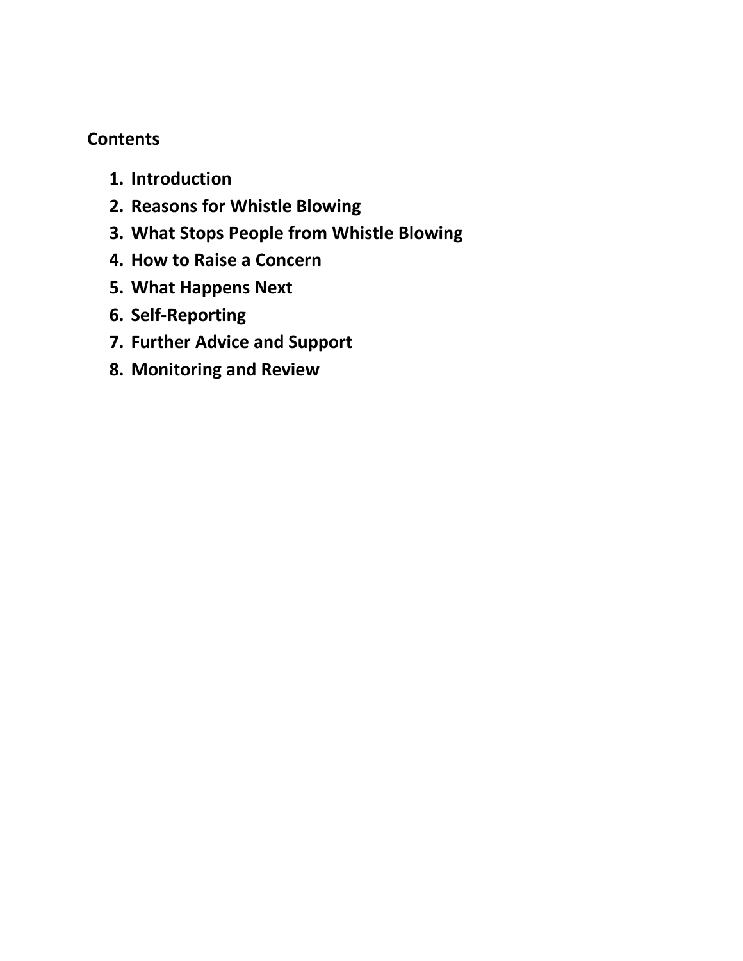## **Contents**

- **1. Introduction**
- **2. Reasons for Whistle Blowing**
- **3. What Stops People from Whistle Blowing**
- **4. How to Raise a Concern**
- **5. What Happens Next**
- **6. Self-Reporting**
- **7. Further Advice and Support**
- **8. Monitoring and Review**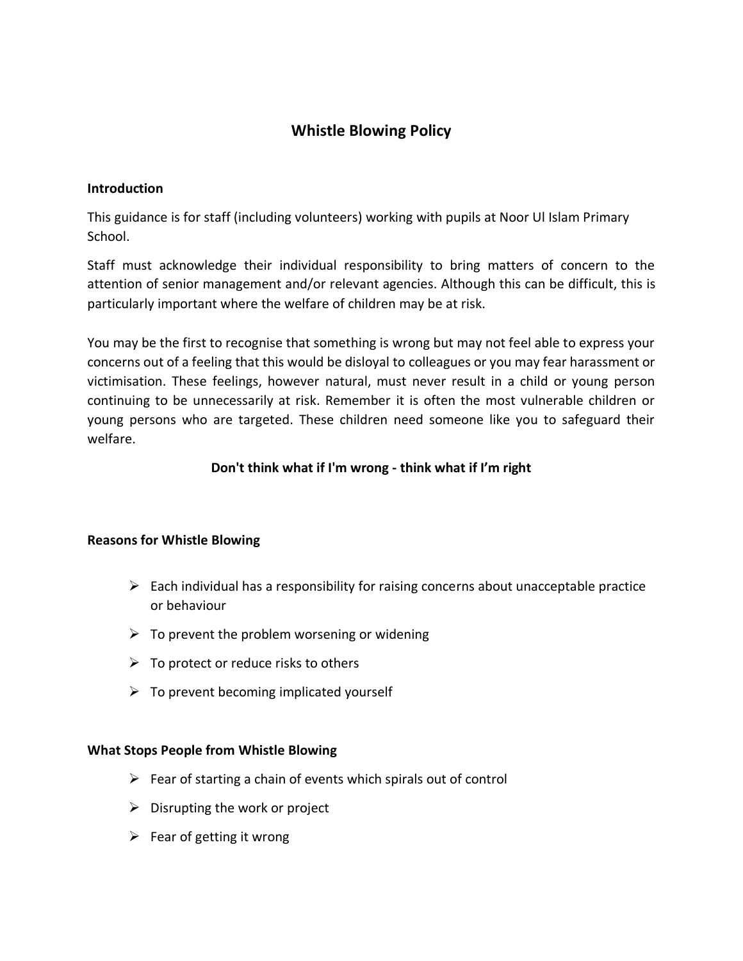## **Whistle Blowing Policy**

#### **Introduction**

This guidance is for staff (including volunteers) working with pupils at Noor Ul Islam Primary School.

Staff must acknowledge their individual responsibility to bring matters of concern to the attention of senior management and/or relevant agencies. Although this can be difficult, this is particularly important where the welfare of children may be at risk.

You may be the first to recognise that something is wrong but may not feel able to express your concerns out of a feeling that this would be disloyal to colleagues or you may fear harassment or victimisation. These feelings, however natural, must never result in a child or young person continuing to be unnecessarily at risk. Remember it is often the most vulnerable children or young persons who are targeted. These children need someone like you to safeguard their welfare.

#### **Don't think what if I'm wrong - think what if I'm right**

#### **Reasons for Whistle Blowing**

- $\triangleright$  Each individual has a responsibility for raising concerns about unacceptable practice or behaviour
- $\triangleright$  To prevent the problem worsening or widening
- $\triangleright$  To protect or reduce risks to others
- $\triangleright$  To prevent becoming implicated yourself

#### **What Stops People from Whistle Blowing**

- $\triangleright$  Fear of starting a chain of events which spirals out of control
- $\triangleright$  Disrupting the work or project
- $\triangleright$  Fear of getting it wrong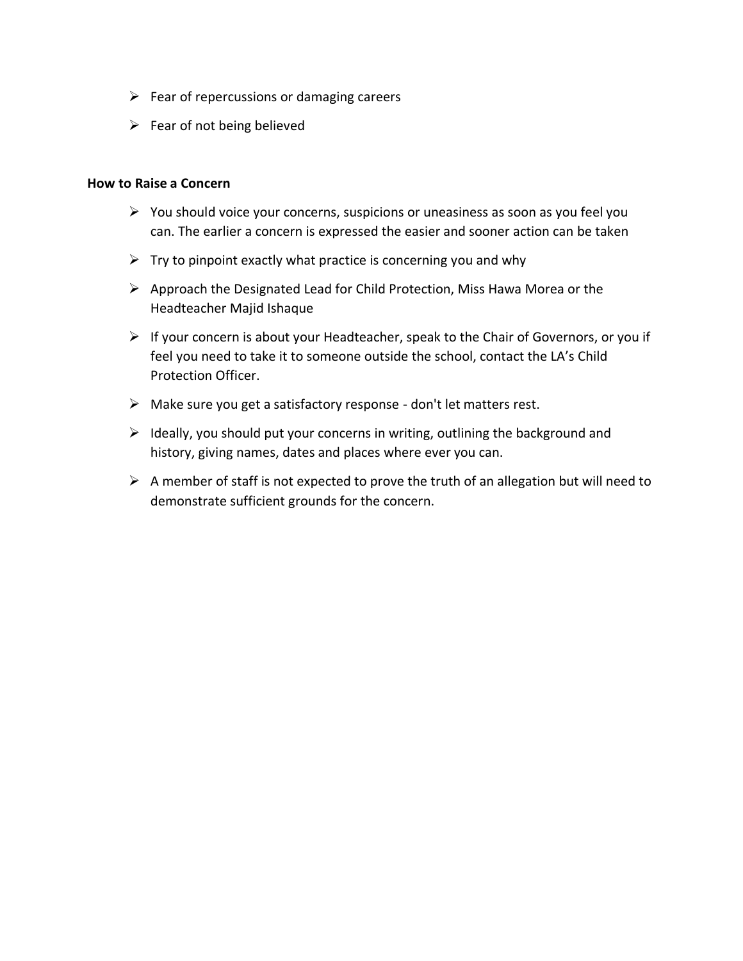- $\triangleright$  Fear of repercussions or damaging careers
- $\triangleright$  Fear of not being believed

#### **How to Raise a Concern**

- ➢ You should voice your concerns, suspicions or uneasiness as soon as you feel you can. The earlier a concern is expressed the easier and sooner action can be taken
- $\triangleright$  Try to pinpoint exactly what practice is concerning you and why
- ➢ Approach the Designated Lead for Child Protection, Miss Hawa Morea or the Headteacher Majid Ishaque
- $\triangleright$  If your concern is about your Headteacher, speak to the Chair of Governors, or you if feel you need to take it to someone outside the school, contact the LA's Child Protection Officer.
- ➢ Make sure you get a satisfactory response don't let matters rest.
- $\triangleright$  Ideally, you should put your concerns in writing, outlining the background and history, giving names, dates and places where ever you can.
- $\triangleright$  A member of staff is not expected to prove the truth of an allegation but will need to demonstrate sufficient grounds for the concern.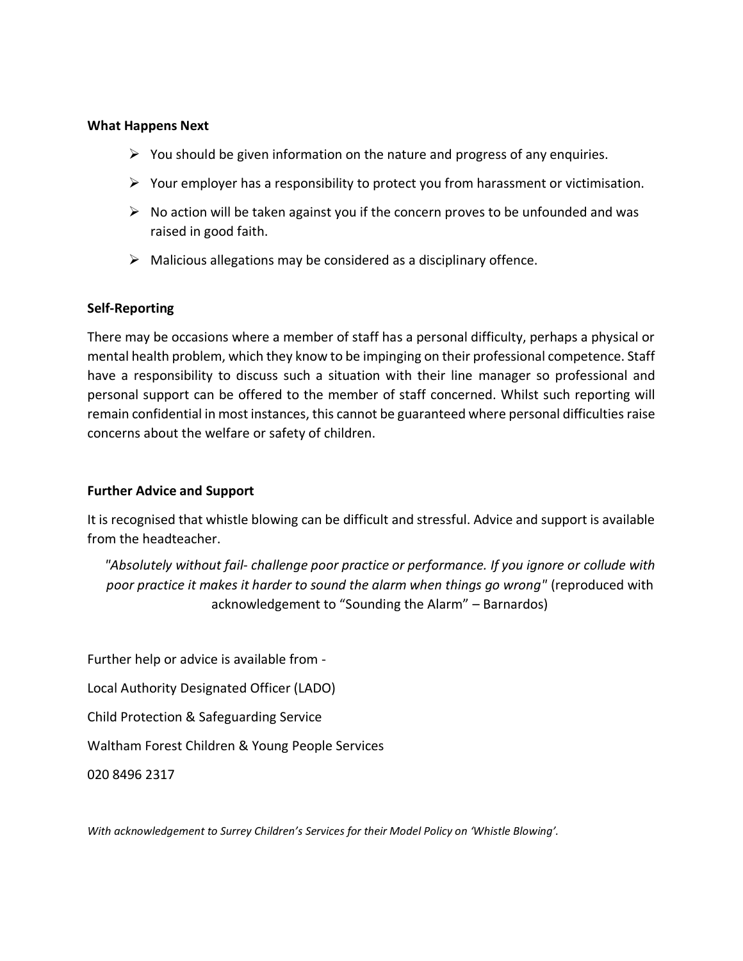#### **What Happens Next**

- $\triangleright$  You should be given information on the nature and progress of any enquiries.
- $\triangleright$  Your employer has a responsibility to protect you from harassment or victimisation.
- $\triangleright$  No action will be taken against you if the concern proves to be unfounded and was raised in good faith.
- $\triangleright$  Malicious allegations may be considered as a disciplinary offence.

#### **Self-Reporting**

There may be occasions where a member of staff has a personal difficulty, perhaps a physical or mental health problem, which they know to be impinging on their professional competence. Staff have a responsibility to discuss such a situation with their line manager so professional and personal support can be offered to the member of staff concerned. Whilst such reporting will remain confidential in most instances, this cannot be guaranteed where personal difficulties raise concerns about the welfare or safety of children.

#### **Further Advice and Support**

It is recognised that whistle blowing can be difficult and stressful. Advice and support is available from the headteacher.

*"Absolutely without fail- challenge poor practice or performance. If you ignore or collude with poor practice it makes it harder to sound the alarm when things go wrong"* (reproduced with acknowledgement to "Sounding the Alarm" – Barnardos)

Further help or advice is available from -

Local Authority Designated Officer (LADO)

Child Protection & Safeguarding Service

Waltham Forest Children & Young People Services

020 8496 2317

*With acknowledgement to Surrey Children's Services for their Model Policy on 'Whistle Blowing'.*